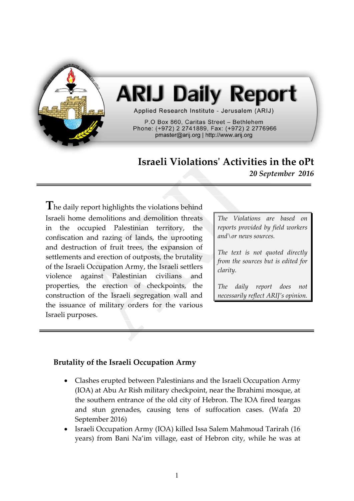

# **ARIJ Daily Report**

Applied Research Institute - Jerusalem (ARIJ)

P.O Box 860, Caritas Street - Bethlehem Phone: (+972) 2 2741889, Fax: (+972) 2 2776966 pmaster@arij.org | http://www.arij.org

# **Israeli Violations' Activities in the oPt**

*20 September 2016*

**T**he daily report highlights the violations behind Israeli home demolitions and demolition threats in the occupied Palestinian territory, the confiscation and razing of lands, the uprooting and destruction of fruit trees, the expansion of settlements and erection of outposts, the brutality of the Israeli Occupation Army, the Israeli settlers violence against Palestinian civilians and properties, the erection of checkpoints, the construction of the Israeli segregation wall and the issuance of military orders for the various Israeli purposes.

*The Violations are based on reports provided by field workers and\or news sources.*

*The text is not quoted directly from the sources but is edited for clarity.*

*The daily report does not necessarily reflect ARIJ's opinion.*

# **Brutality of the Israeli Occupation Army**

- Clashes erupted between Palestinians and the Israeli Occupation Army (IOA) at Abu Ar Rish military checkpoint, near the Ibrahimi mosque, at the southern entrance of the old city of Hebron. The IOA fired teargas and stun grenades, causing tens of suffocation cases. (Wafa 20 September 2016)
- Israeli Occupation Army (IOA) killed Issa Salem Mahmoud Tarirah (16 years) from Bani Na'im village, east of Hebron city, while he was at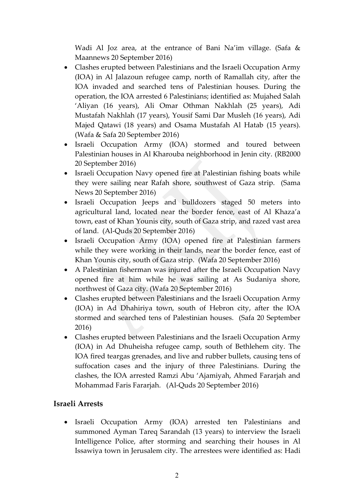Wadi Al Joz area, at the entrance of Bani Na'im village. (Safa & Maannews 20 September 2016)

- Clashes erupted between Palestinians and the Israeli Occupation Army (IOA) in Al Jalazoun refugee camp, north of Ramallah city, after the IOA invaded and searched tens of Palestinian houses. During the operation, the IOA arrested 6 Palestinians; identified as: Mujahed Salah 'Aliyan (16 years), Ali Omar Othman Nakhlah (25 years), Adi Mustafah Nakhlah (17 years), Yousif Sami Dar Musleh (16 years), Adi Majed Qatawi (18 years) and Osama Mustafah Al Hatab (15 years). (Wafa & Safa 20 September 2016)
- Israeli Occupation Army (IOA) stormed and toured between Palestinian houses in Al Kharouba neighborhood in Jenin city. (RB2000 20 September 2016)
- Israeli Occupation Navy opened fire at Palestinian fishing boats while they were sailing near Rafah shore, southwest of Gaza strip. (Sama News 20 September 2016)
- Israeli Occupation Jeeps and bulldozers staged 50 meters into agricultural land, located near the border fence, east of Al Khaza'a town, east of Khan Younis city, south of Gaza strip, and razed vast area of land. (Al-Quds 20 September 2016)
- Israeli Occupation Army (IOA) opened fire at Palestinian farmers while they were working in their lands, near the border fence, east of Khan Younis city, south of Gaza strip. (Wafa 20 September 2016)
- A Palestinian fisherman was injured after the Israeli Occupation Navy opened fire at him while he was sailing at As Sudaniya shore, northwest of Gaza city. (Wafa 20 September 2016)
- Clashes erupted between Palestinians and the Israeli Occupation Army (IOA) in Ad Dhahiriya town, south of Hebron city, after the IOA stormed and searched tens of Palestinian houses. (Safa 20 September 2016)
- Clashes erupted between Palestinians and the Israeli Occupation Army (IOA) in Ad Dhuheisha refugee camp, south of Bethlehem city. The IOA fired teargas grenades, and live and rubber bullets, causing tens of suffocation cases and the injury of three Palestinians. During the clashes, the IOA arrested Ramzi Abu 'Ajamiyah, Ahmed Fararjah and Mohammad Faris Fararjah. (Al-Quds 20 September 2016)

#### **Israeli Arrests**

 Israeli Occupation Army (IOA) arrested ten Palestinians and summoned Ayman Tareq Sarandah (13 years) to interview the Israeli Intelligence Police, after storming and searching their houses in Al Issawiya town in Jerusalem city. The arrestees were identified as: Hadi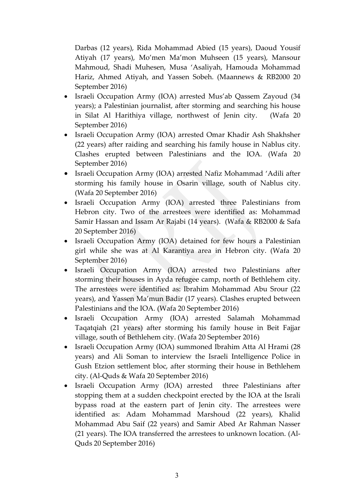Darbas (12 years), Rida Mohammad Abied (15 years), Daoud Yousif Atiyah (17 years), Mo'men Ma'mon Muhseen (15 years), Mansour Mahmoud, Shadi Muhesen, Musa 'Asaliyah, Hamouda Mohammad Hariz, Ahmed Atiyah, and Yassen Sobeh. (Maannews & RB2000 20 September 2016)

- Israeli Occupation Army (IOA) arrested Mus'ab Qassem Zayoud (34 years); a Palestinian journalist, after storming and searching his house in Silat Al Harithiya village, northwest of Jenin city. (Wafa 20 September 2016)
- Israeli Occupation Army (IOA) arrested Omar Khadir Ash Shakhsher (22 years) after raiding and searching his family house in Nablus city. Clashes erupted between Palestinians and the IOA. (Wafa 20 September 2016)
- Israeli Occupation Army (IOA) arrested Nafiz Mohammad 'Adili after storming his family house in Osarin village, south of Nablus city. (Wafa 20 September 2016)
- Israeli Occupation Army (IOA) arrested three Palestinians from Hebron city. Two of the arrestees were identified as: Mohammad Samir Hassan and Issam Ar Rajabi (14 years). (Wafa & RB2000 & Safa 20 September 2016)
- Israeli Occupation Army (IOA) detained for few hours a Palestinian girl while she was at Al Karantiya area in Hebron city. (Wafa 20 September 2016)
- Israeli Occupation Army (IOA) arrested two Palestinians after storming their houses in Ayda refugee camp, north of Bethlehem city. The arrestees were identified as: Ibrahim Mohammad Abu Srour (22 years), and Yassen Ma'mun Badir (17 years). Clashes erupted between Palestinians and the IOA. (Wafa 20 September 2016)
- Israeli Occupation Army (IOA) arrested Salamah Mohammad Taqatqiah (21 years) after storming his family house in Beit Fajjar village, south of Bethlehem city. (Wafa 20 September 2016)
- Israeli Occupation Army (IOA) summoned Ibrahim Atta Al Hrami (28 years) and Ali Soman to interview the Israeli Intelligence Police in Gush Etzion settlement bloc, after storming their house in Bethlehem city. (Al-Quds & Wafa 20 September 2016)
- Israeli Occupation Army (IOA) arrested three Palestinians after stopping them at a sudden checkpoint erected by the IOA at the Israli bypass road at the eastern part of Jenin city. The arrestees were identified as: Adam Mohammad Marshoud (22 years), Khalid Mohammad Abu Saif (22 years) and Samir Abed Ar Rahman Nasser (21 years). The IOA transferred the arrestees to unknown location. (Al-Quds 20 September 2016)